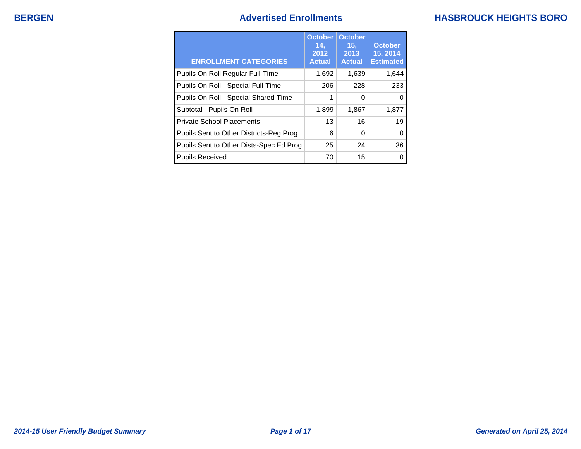## **BERGEN BERGEN Advertised Enrollments**

|  | <b>HASBROUCK HEIGHTS BORO</b> |  |
|--|-------------------------------|--|
|--|-------------------------------|--|

| <b>ENROLLMENT CATEGORIES</b>            | <b>October</b><br>14.<br>2012<br><b>Actual</b> | <b>October</b><br>15.<br>2013<br><b>Actual</b> | <b>October</b><br>15, 2014<br><b>Estimated</b> |
|-----------------------------------------|------------------------------------------------|------------------------------------------------|------------------------------------------------|
| Pupils On Roll Regular Full-Time        | 1,692                                          | 1,639                                          | 1,644                                          |
| Pupils On Roll - Special Full-Time      | 206                                            | 228                                            | 233                                            |
| Pupils On Roll - Special Shared-Time    | 1                                              | 0                                              | O                                              |
| Subtotal - Pupils On Roll               | 1,899                                          | 1,867                                          | 1,877                                          |
| <b>Private School Placements</b>        | 13                                             | 16                                             | 19                                             |
| Pupils Sent to Other Districts-Reg Prog | 6                                              | $\Omega$                                       | 0                                              |
| Pupils Sent to Other Dists-Spec Ed Prog | 25                                             | 24                                             | 36                                             |
| <b>Pupils Received</b>                  | 70                                             | 15                                             |                                                |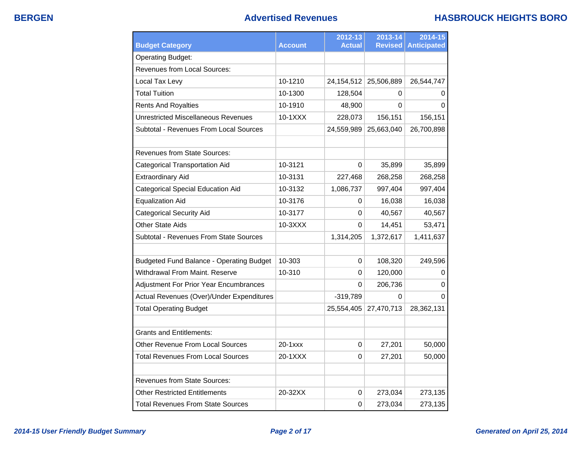| <b>Budget Category</b>                          | <b>Account</b> | 2012-13<br><b>Actual</b> | 2013-14<br><b>Revised</b> | 2014-15<br><b>Anticipated</b> |
|-------------------------------------------------|----------------|--------------------------|---------------------------|-------------------------------|
| <b>Operating Budget:</b>                        |                |                          |                           |                               |
| Revenues from Local Sources:                    |                |                          |                           |                               |
| Local Tax Levy                                  | 10-1210        | 24, 154, 512             | 25,506,889                | 26,544,747                    |
| <b>Total Tuition</b>                            | 10-1300        | 128,504                  | 0                         | 0                             |
| <b>Rents And Royalties</b>                      | 10-1910        | 48,900                   | 0                         | 0                             |
| <b>Unrestricted Miscellaneous Revenues</b>      | 10-1XXX        | 228,073                  | 156,151                   | 156,151                       |
| Subtotal - Revenues From Local Sources          |                | 24,559,989               | 25,663,040                | 26,700,898                    |
| <b>Revenues from State Sources:</b>             |                |                          |                           |                               |
| <b>Categorical Transportation Aid</b>           | 10-3121        | 0                        | 35,899                    | 35,899                        |
| <b>Extraordinary Aid</b>                        | 10-3131        | 227,468                  | 268,258                   | 268,258                       |
| Categorical Special Education Aid               | 10-3132        | 1,086,737                | 997,404                   | 997,404                       |
| <b>Equalization Aid</b>                         | 10-3176        | 0                        | 16,038                    | 16,038                        |
| <b>Categorical Security Aid</b>                 | 10-3177        | 0                        | 40,567                    | 40,567                        |
| <b>Other State Aids</b>                         | 10-3XXX        | 0                        | 14,451                    | 53,471                        |
| Subtotal - Revenues From State Sources          |                | 1,314,205                | 1,372,617                 | 1,411,637                     |
| <b>Budgeted Fund Balance - Operating Budget</b> | 10-303         | 0                        | 108,320                   | 249,596                       |
| Withdrawal From Maint. Reserve                  | 10-310         | 0                        | 120,000                   | 0                             |
| Adjustment For Prior Year Encumbrances          |                | 0                        | 206,736                   | 0                             |
| Actual Revenues (Over)/Under Expenditures       |                | $-319,789$               | 0                         | 0                             |
| <b>Total Operating Budget</b>                   |                | 25,554,405               | 27,470,713                | 28,362,131                    |
| <b>Grants and Entitlements:</b>                 |                |                          |                           |                               |
| <b>Other Revenue From Local Sources</b>         | 20-1xxx        | 0                        | 27,201                    | 50,000                        |
| <b>Total Revenues From Local Sources</b>        | 20-1XXX        | 0                        | 27,201                    | 50,000                        |
| <b>Revenues from State Sources:</b>             |                |                          |                           |                               |
| <b>Other Restricted Entitlements</b>            | 20-32XX        | 0                        | 273,034                   | 273,135                       |
| <b>Total Revenues From State Sources</b>        |                | 0                        | 273,034                   | 273,135                       |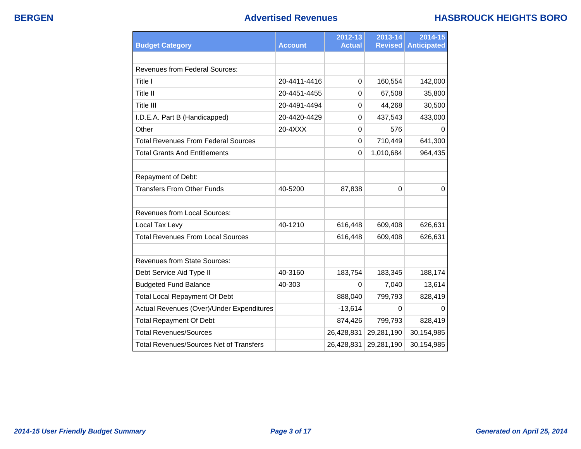## **BERGEN Advertised Revenues HASBROUCK HEIGHTS BORO**

| <b>Budget Category</b>                         | <b>Account</b> | 2012-13<br><b>Actual</b> | 2013-14<br><b>Revised</b> | 2014-15<br><b>Anticipated</b> |
|------------------------------------------------|----------------|--------------------------|---------------------------|-------------------------------|
|                                                |                |                          |                           |                               |
| <b>Revenues from Federal Sources:</b>          |                |                          |                           |                               |
| Title I                                        | 20-4411-4416   | $\Omega$                 | 160,554                   | 142,000                       |
| Title II                                       | 20-4451-4455   | $\Omega$                 | 67,508                    | 35,800                        |
| Title III                                      | 20-4491-4494   | $\mathbf 0$              | 44,268                    | 30,500                        |
| I.D.E.A. Part B (Handicapped)                  | 20-4420-4429   | $\Omega$                 | 437,543                   | 433,000                       |
| Other                                          | 20-4XXX        | $\Omega$                 | 576                       | 0                             |
| <b>Total Revenues From Federal Sources</b>     |                | $\Omega$                 | 710,449                   | 641,300                       |
| <b>Total Grants And Entitlements</b>           |                | 0                        | 1,010,684                 | 964,435                       |
|                                                |                |                          |                           |                               |
| Repayment of Debt:                             |                |                          |                           |                               |
| <b>Transfers From Other Funds</b>              | 40-5200        | 87,838                   | $\Omega$                  | 0                             |
| <b>Revenues from Local Sources:</b>            |                |                          |                           |                               |
| Local Tax Levy                                 | 40-1210        | 616,448                  | 609,408                   | 626,631                       |
| <b>Total Revenues From Local Sources</b>       |                | 616,448                  | 609,408                   | 626,631                       |
| <b>Revenues from State Sources:</b>            |                |                          |                           |                               |
| Debt Service Aid Type II                       | 40-3160        | 183,754                  | 183,345                   | 188,174                       |
| <b>Budgeted Fund Balance</b>                   | 40-303         | 0                        | 7,040                     | 13,614                        |
| <b>Total Local Repayment Of Debt</b>           |                | 888,040                  | 799,793                   | 828,419                       |
| Actual Revenues (Over)/Under Expenditures      |                | $-13,614$                | 0                         | 0                             |
| <b>Total Repayment Of Debt</b>                 |                | 874,426                  | 799,793                   | 828,419                       |
| <b>Total Revenues/Sources</b>                  |                | 26,428,831               | 29,281,190                | 30,154,985                    |
| <b>Total Revenues/Sources Net of Transfers</b> |                | 26,428,831               | 29,281,190                | 30,154,985                    |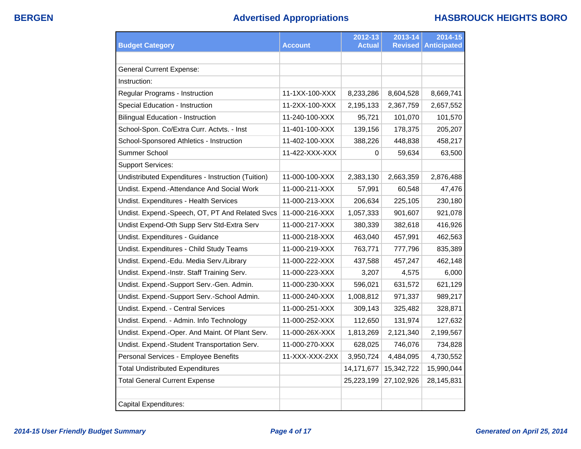|                                                    |                | 2012-13<br><b>Actual</b> | 2013-14<br><b>Revised</b> | 2014-15<br><b>Anticipated</b> |
|----------------------------------------------------|----------------|--------------------------|---------------------------|-------------------------------|
| <b>Budget Category</b>                             | <b>Account</b> |                          |                           |                               |
|                                                    |                |                          |                           |                               |
| General Current Expense:                           |                |                          |                           |                               |
| Instruction:                                       |                |                          |                           |                               |
| Regular Programs - Instruction                     | 11-1XX-100-XXX | 8,233,286                | 8,604,528                 | 8,669,741                     |
| Special Education - Instruction                    | 11-2XX-100-XXX | 2,195,133                | 2,367,759                 | 2,657,552                     |
| <b>Bilingual Education - Instruction</b>           | 11-240-100-XXX | 95,721                   | 101,070                   | 101,570                       |
| School-Spon. Co/Extra Curr. Actvts. - Inst         | 11-401-100-XXX | 139,156                  | 178,375                   | 205,207                       |
| School-Sponsored Athletics - Instruction           | 11-402-100-XXX | 388,226                  | 448,838                   | 458,217                       |
| Summer School                                      | 11-422-XXX-XXX | 0                        | 59,634                    | 63,500                        |
| <b>Support Services:</b>                           |                |                          |                           |                               |
| Undistributed Expenditures - Instruction (Tuition) | 11-000-100-XXX | 2,383,130                | 2,663,359                 | 2,876,488                     |
| Undist. Expend.-Attendance And Social Work         | 11-000-211-XXX | 57,991                   | 60,548                    | 47,476                        |
| Undist. Expenditures - Health Services             | 11-000-213-XXX | 206,634                  | 225,105                   | 230,180                       |
| Undist. Expend.-Speech, OT, PT And Related Svcs    | 11-000-216-XXX | 1,057,333                | 901,607                   | 921,078                       |
| Undist Expend-Oth Supp Serv Std-Extra Serv         | 11-000-217-XXX | 380,339                  | 382,618                   | 416,926                       |
| Undist. Expenditures - Guidance                    | 11-000-218-XXX | 463,040                  | 457,991                   | 462,563                       |
| Undist. Expenditures - Child Study Teams           | 11-000-219-XXX | 763,771                  | 777,796                   | 835,389                       |
| Undist. Expend.-Edu. Media Serv./Library           | 11-000-222-XXX | 437,588                  | 457,247                   | 462,148                       |
| Undist. Expend.-Instr. Staff Training Serv.        | 11-000-223-XXX | 3,207                    | 4,575                     | 6,000                         |
| Undist. Expend.-Support Serv.-Gen. Admin.          | 11-000-230-XXX | 596,021                  | 631,572                   | 621,129                       |
| Undist. Expend.-Support Serv.-School Admin.        | 11-000-240-XXX | 1,008,812                | 971,337                   | 989,217                       |
| Undist. Expend. - Central Services                 | 11-000-251-XXX | 309,143                  | 325,482                   | 328,871                       |
| Undist. Expend. - Admin. Info Technology           | 11-000-252-XXX | 112,650                  | 131,974                   | 127,632                       |
| Undist. Expend.-Oper. And Maint. Of Plant Serv.    | 11-000-26X-XXX | 1,813,269                | 2,121,340                 | 2,199,567                     |
| Undist. Expend.-Student Transportation Serv.       | 11-000-270-XXX | 628,025                  | 746,076                   | 734,828                       |
| Personal Services - Employee Benefits              | 11-XXX-XXX-2XX | 3,950,724                | 4,484,095                 | 4,730,552                     |
| <b>Total Undistributed Expenditures</b>            |                | 14, 171, 677             | 15,342,722                | 15,990,044                    |
| <b>Total General Current Expense</b>               |                | 25,223,199               | 27,102,926                | 28,145,831                    |
|                                                    |                |                          |                           |                               |
| <b>Capital Expenditures:</b>                       |                |                          |                           |                               |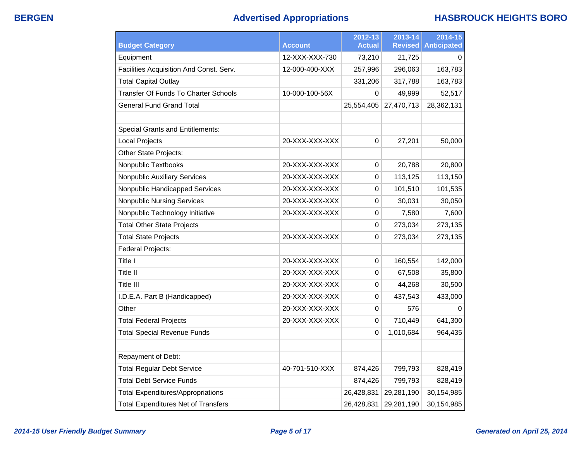# **BERGEN Advertised Appropriations HASBROUCK HEIGHTS BORO**

|                                             |                | 2012-13       | 2013-14        | 2014-15            |
|---------------------------------------------|----------------|---------------|----------------|--------------------|
| <b>Budget Category</b>                      | <b>Account</b> | <b>Actual</b> | <b>Revised</b> | <b>Anticipated</b> |
| Equipment                                   | 12-XXX-XXX-730 | 73,210        | 21,725         | 0                  |
| Facilities Acquisition And Const. Serv.     | 12-000-400-XXX | 257,996       | 296,063        | 163,783            |
| <b>Total Capital Outlay</b>                 |                | 331,206       | 317,788        | 163,783            |
| <b>Transfer Of Funds To Charter Schools</b> | 10-000-100-56X | 0             | 49,999         | 52,517             |
| <b>General Fund Grand Total</b>             |                | 25,554,405    | 27,470,713     | 28,362,131         |
|                                             |                |               |                |                    |
| <b>Special Grants and Entitlements:</b>     |                |               |                |                    |
| <b>Local Projects</b>                       | 20-XXX-XXX-XXX | $\Omega$      | 27,201         | 50,000             |
| Other State Projects:                       |                |               |                |                    |
| Nonpublic Textbooks                         | 20-XXX-XXX-XXX | 0             | 20,788         | 20,800             |
| <b>Nonpublic Auxiliary Services</b>         | 20-XXX-XXX-XXX | 0             | 113,125        | 113,150            |
| Nonpublic Handicapped Services              | 20-XXX-XXX-XXX | 0             | 101,510        | 101,535            |
| <b>Nonpublic Nursing Services</b>           | 20-XXX-XXX-XXX | 0             | 30,031         | 30,050             |
| Nonpublic Technology Initiative             | 20-XXX-XXX-XXX | 0             | 7,580          | 7,600              |
| <b>Total Other State Projects</b>           |                | 0             | 273,034        | 273,135            |
| <b>Total State Projects</b>                 | 20-XXX-XXX-XXX | 0             | 273,034        | 273,135            |
| Federal Projects:                           |                |               |                |                    |
| Title I                                     | 20-XXX-XXX-XXX | 0             | 160,554        | 142,000            |
| Title II                                    | 20-XXX-XXX-XXX | 0             | 67,508         | 35,800             |
| <b>Title III</b>                            | 20-XXX-XXX-XXX | 0             | 44,268         | 30,500             |
| I.D.E.A. Part B (Handicapped)               | 20-XXX-XXX-XXX | 0             | 437,543        | 433,000            |
| Other                                       | 20-XXX-XXX-XXX | 0             | 576            | $\Omega$           |
| <b>Total Federal Projects</b>               | 20-XXX-XXX-XXX | 0             | 710,449        | 641,300            |
| <b>Total Special Revenue Funds</b>          |                | 0             | 1,010,684      | 964,435            |
|                                             |                |               |                |                    |
| Repayment of Debt:                          |                |               |                |                    |
| <b>Total Regular Debt Service</b>           | 40-701-510-XXX | 874,426       | 799,793        | 828,419            |
| <b>Total Debt Service Funds</b>             |                | 874,426       | 799,793        | 828,419            |
| <b>Total Expenditures/Appropriations</b>    |                | 26,428,831    | 29,281,190     | 30,154,985         |
| <b>Total Expenditures Net of Transfers</b>  |                | 26,428,831    | 29,281,190     | 30,154,985         |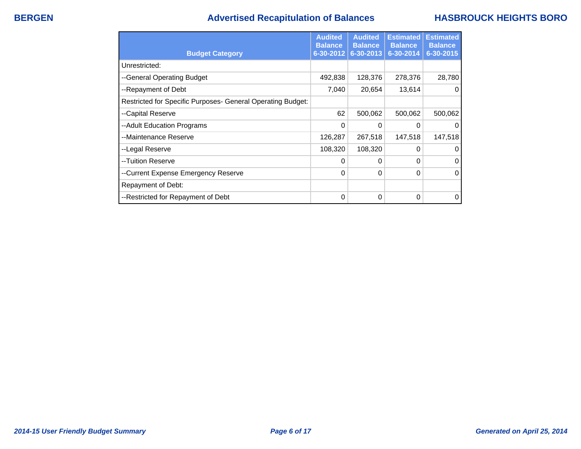## **BERGEN Advertised Recapitulation of Balances HASBROUCK HEIGHTS BORO**

|                                                             | <b>Audited</b><br><b>Balance</b> | <b>Audited</b><br><b>Balance</b> | <b>Estimated</b><br><b>Balance</b> | <b>Estimated</b><br><b>Balance</b> |
|-------------------------------------------------------------|----------------------------------|----------------------------------|------------------------------------|------------------------------------|
| <b>Budget Category</b>                                      | $6 - 30 - 2012$                  | 6-30-2013                        | 6-30-2014                          | 6-30-2015                          |
| Unrestricted:                                               |                                  |                                  |                                    |                                    |
| --General Operating Budget                                  | 492,838                          | 128,376                          | 278,376                            | 28,780                             |
| --Repayment of Debt                                         | 7,040                            | 20,654                           | 13,614                             | 0                                  |
| Restricted for Specific Purposes- General Operating Budget: |                                  |                                  |                                    |                                    |
| --Capital Reserve                                           | 62                               | 500,062                          | 500,062                            | 500,062                            |
| -- Adult Education Programs                                 | 0                                | 0                                | 0                                  | 0                                  |
| --Maintenance Reserve                                       | 126,287                          | 267,518                          | 147,518                            | 147,518                            |
| --Legal Reserve                                             | 108,320                          | 108,320                          | 0                                  | 0                                  |
| --Tuition Reserve                                           | 0                                | 0                                | 0                                  | 0                                  |
| --Current Expense Emergency Reserve                         | $\Omega$                         | $\Omega$                         | 0                                  | 0                                  |
| Repayment of Debt:                                          |                                  |                                  |                                    |                                    |
| --Restricted for Repayment of Debt                          | $\Omega$                         | 0                                | 0                                  | 0                                  |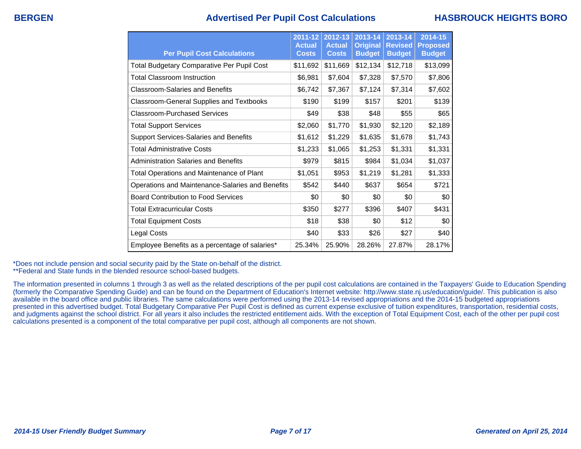## **BERGEN Advertised Per Pupil Cost Calculations HASBROUCK HEIGHTS BORO**

| <b>Per Pupil Cost Calculations</b>                | $2011 - 12$<br><b>Actual</b><br><b>Costs</b> | 2012-13<br><b>Actual</b><br><b>Costs</b> | 2013-14<br><b>Original</b><br><b>Budget</b> | 2013-14<br><b>Revised</b><br><b>Budget</b> | 2014-15<br><b>Proposed</b><br><b>Budget</b> |
|---------------------------------------------------|----------------------------------------------|------------------------------------------|---------------------------------------------|--------------------------------------------|---------------------------------------------|
| <b>Total Budgetary Comparative Per Pupil Cost</b> | \$11,692                                     | \$11,669                                 | \$12,134                                    | \$12,718                                   | \$13,099                                    |
| <b>Total Classroom Instruction</b>                | \$6,981                                      | \$7,604                                  | \$7,328                                     | \$7,570                                    | \$7,806                                     |
| <b>Classroom-Salaries and Benefits</b>            | \$6,742                                      | \$7,367                                  | \$7,124                                     | \$7,314                                    | \$7,602                                     |
| Classroom-General Supplies and Textbooks          | \$190                                        | \$199                                    | \$157                                       | \$201                                      | \$139                                       |
| Classroom-Purchased Services                      | \$49                                         | \$38                                     | \$48                                        | \$55                                       | \$65                                        |
| <b>Total Support Services</b>                     | \$2,060                                      | \$1,770                                  | \$1,930                                     | \$2,120                                    | \$2,189                                     |
| Support Services-Salaries and Benefits            | \$1,612                                      | \$1,229                                  | \$1,635                                     | \$1,678                                    | \$1,743                                     |
| <b>Total Administrative Costs</b>                 | \$1,233                                      | \$1,065                                  | \$1,253                                     | \$1,331                                    | \$1,331                                     |
| Administration Salaries and Benefits              | \$979                                        | \$815                                    | \$984                                       | \$1,034                                    | \$1,037                                     |
| Total Operations and Maintenance of Plant         | \$1,051                                      | \$953                                    | \$1,219                                     | \$1,281                                    | \$1,333                                     |
| Operations and Maintenance-Salaries and Benefits  | \$542                                        | \$440                                    | \$637                                       | \$654                                      | \$721                                       |
| <b>Board Contribution to Food Services</b>        | \$0                                          | \$0                                      | \$0                                         | \$0                                        | \$0                                         |
| <b>Total Extracurricular Costs</b>                | \$350                                        | \$277                                    | \$396                                       | \$407                                      | \$431                                       |
| <b>Total Equipment Costs</b>                      | \$18                                         | \$38                                     | \$0                                         | \$12                                       | \$0                                         |
| Legal Costs                                       | \$40                                         | \$33                                     | \$26                                        | \$27                                       | \$40                                        |
| Employee Benefits as a percentage of salaries*    | 25.34%                                       | 25.90%                                   | 28.26%                                      | 27.87%                                     | 28.17%                                      |

\*Does not include pension and social security paid by the State on-behalf of the district.

\*\*Federal and State funds in the blended resource school-based budgets.

The information presented in columns 1 through 3 as well as the related descriptions of the per pupil cost calculations are contained in the Taxpayers' Guide to Education Spending (formerly the Comparative Spending Guide) and can be found on the Department of Education's Internet website: http://www.state.nj.us/education/guide/. This publication is also available in the board office and public libraries. The same calculations were performed using the 2013-14 revised appropriations and the 2014-15 budgeted appropriations presented in this advertised budget. Total Budgetary Comparative Per Pupil Cost is defined as current expense exclusive of tuition expenditures, transportation, residential costs, and judgments against the school district. For all years it also includes the restricted entitlement aids. With the exception of Total Equipment Cost, each of the other per pupil cost calculations presented is a component of the total comparative per pupil cost, although all components are not shown.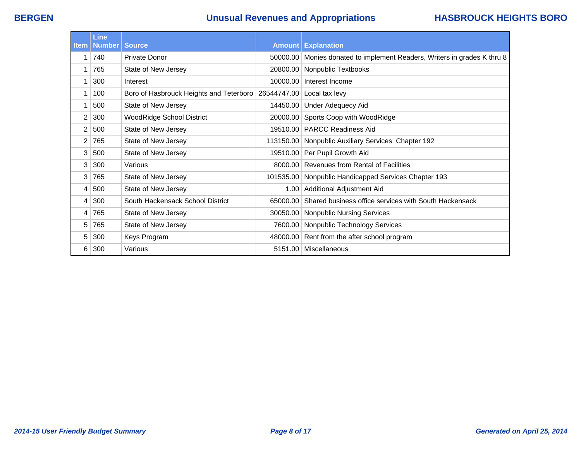# **BERGEN Unusual Revenues and Appropriations HASBROUCK HEIGHTS BORO**

| <b>Item</b> | <b>Line</b><br><b>Number</b> | <b>Source</b>                                                        |           | <b>Amount Explanation</b>                                       |
|-------------|------------------------------|----------------------------------------------------------------------|-----------|-----------------------------------------------------------------|
|             |                              |                                                                      |           |                                                                 |
| 1           | 740                          | <b>Private Donor</b>                                                 | 50000.00  | Monies donated to implement Readers, Writers in grades K thru 8 |
| 1           | 765                          | State of New Jersey                                                  | 20800.00  | Nonpublic Textbooks                                             |
| 1           | 300                          | Interest                                                             | 10000.00  | Interest Income                                                 |
| 1           | 100                          | Boro of Hasbrouck Heights and Teterboro   26544747.00 Local tax levy |           |                                                                 |
| 1           | 500                          | State of New Jersey                                                  |           | 14450.00   Under Adequecy Aid                                   |
| 2           | 300                          | <b>WoodRidge School District</b>                                     | 20000.00  | Sports Coop with WoodRidge                                      |
| 2           | 500                          | State of New Jersey                                                  | 19510.00  | <b>PARCC Readiness Aid</b>                                      |
| 2           | 765                          | State of New Jersey                                                  | 113150.00 | Nonpublic Auxiliary Services Chapter 192                        |
| 3           | 500                          | State of New Jersey                                                  | 19510.00  | Per Pupil Growth Aid                                            |
| 3           | 300                          | Various                                                              | 8000.00   | <b>Revenues from Rental of Facilities</b>                       |
| 3           | 765                          | State of New Jersey                                                  |           | 101535.00 Nonpublic Handicapped Services Chapter 193            |
| 4           | 500                          | State of New Jersey                                                  | 1.00      | Additional Adjustment Aid                                       |
| 4           | 300                          | South Hackensack School District                                     | 65000.00  | Shared business office services with South Hackensack           |
| 4           | 765                          | State of New Jersey                                                  | 30050.00  | Nonpublic Nursing Services                                      |
| 5           | 765                          | State of New Jersey                                                  | 7600.00   | Nonpublic Technology Services                                   |
| 5           | 300                          | Keys Program                                                         |           | 48000.00 Rent from the after school program                     |
| 6           | 300                          | Various                                                              | 5151.00   | Miscellaneous                                                   |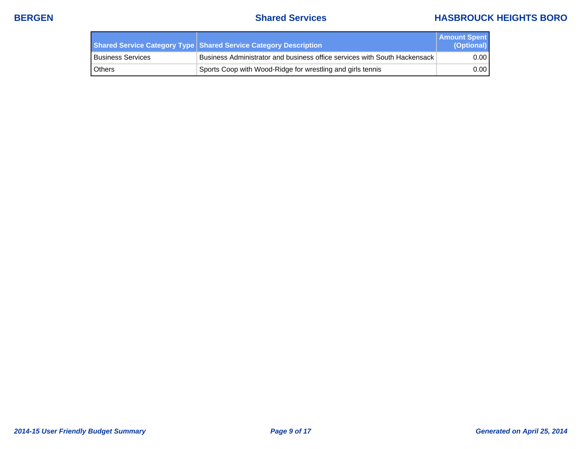## **BERGEN Shared Services HASBROUCK HEIGHTS BORO**

|                     | Shared Service Category Type Shared Service Category Description          | <b>Amount Spent</b><br>(Optional) |
|---------------------|---------------------------------------------------------------------------|-----------------------------------|
| l Business Services | Business Administrator and business office services with South Hackensack | 0.00                              |
| l Others            | Sports Coop with Wood-Ridge for wrestling and girls tennis                | 0.00                              |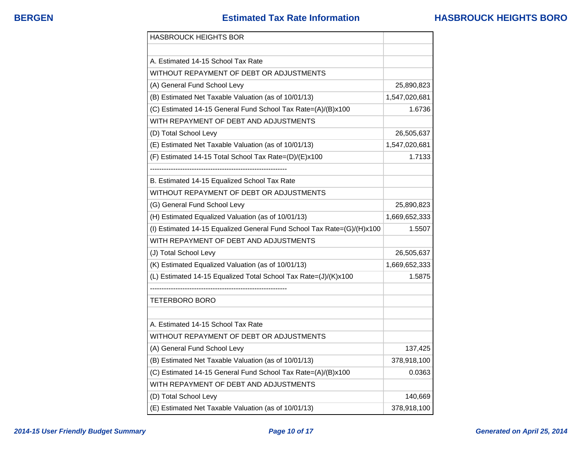| <b>HASBROUCK HEIGHTS BOR</b>                                           |               |
|------------------------------------------------------------------------|---------------|
|                                                                        |               |
| A. Estimated 14-15 School Tax Rate                                     |               |
| WITHOUT REPAYMENT OF DEBT OR ADJUSTMENTS                               |               |
| (A) General Fund School Levy                                           | 25,890,823    |
| (B) Estimated Net Taxable Valuation (as of 10/01/13)                   | 1,547,020,681 |
| (C) Estimated 14-15 General Fund School Tax Rate=(A)/(B)x100           | 1.6736        |
| WITH REPAYMENT OF DEBT AND ADJUSTMENTS                                 |               |
| (D) Total School Levy                                                  | 26,505,637    |
| (E) Estimated Net Taxable Valuation (as of 10/01/13)                   | 1,547,020,681 |
| (F) Estimated 14-15 Total School Tax Rate=(D)/(E)x100                  | 1.7133        |
|                                                                        |               |
| B. Estimated 14-15 Equalized School Tax Rate                           |               |
| WITHOUT REPAYMENT OF DEBT OR ADJUSTMENTS                               |               |
| (G) General Fund School Levy                                           | 25,890,823    |
| (H) Estimated Equalized Valuation (as of 10/01/13)                     | 1,669,652,333 |
| (I) Estimated 14-15 Equalized General Fund School Tax Rate=(G)/(H)x100 | 1.5507        |
| WITH REPAYMENT OF DEBT AND ADJUSTMENTS                                 |               |
| (J) Total School Levy                                                  | 26,505,637    |
| (K) Estimated Equalized Valuation (as of 10/01/13)                     | 1,669,652,333 |
| (L) Estimated 14-15 Equalized Total School Tax Rate=(J)/(K)x100        | 1.5875        |
|                                                                        |               |
| TETERBORO BORO                                                         |               |
|                                                                        |               |
| A. Estimated 14-15 School Tax Rate                                     |               |
| WITHOUT REPAYMENT OF DEBT OR ADJUSTMENTS                               |               |
| (A) General Fund School Levy                                           | 137,425       |
| (B) Estimated Net Taxable Valuation (as of 10/01/13)                   | 378,918,100   |
| (C) Estimated 14-15 General Fund School Tax Rate=(A)/(B)x100           | 0.0363        |
| WITH REPAYMENT OF DEBT AND ADJUSTMENTS                                 |               |
| (D) Total School Levy                                                  | 140,669       |
| (E) Estimated Net Taxable Valuation (as of 10/01/13)                   | 378,918,100   |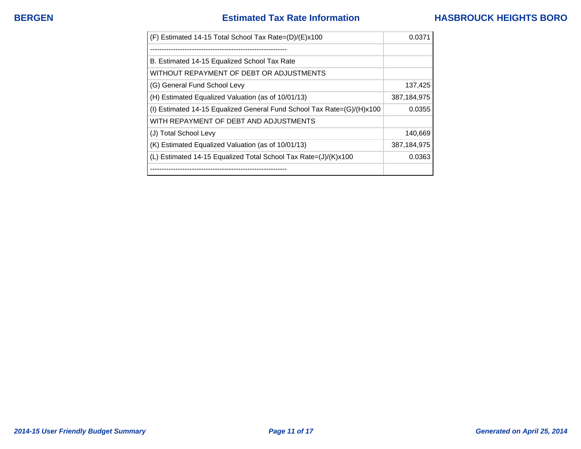| (F) Estimated 14-15 Total School Tax Rate=(D)/(E)x100                  | 0.037       |
|------------------------------------------------------------------------|-------------|
|                                                                        |             |
| B. Estimated 14-15 Equalized School Tax Rate                           |             |
| WITHOUT REPAYMENT OF DEBT OR ADJUSTMENTS                               |             |
| (G) General Fund School Levy                                           | 137,425     |
| (H) Estimated Equalized Valuation (as of 10/01/13)                     | 387,184,975 |
| (I) Estimated 14-15 Equalized General Fund School Tax Rate=(G)/(H)x100 | 0.0355      |
| WITH REPAYMENT OF DEBT AND ADJUSTMENTS                                 |             |
| (J) Total School Levy                                                  | 140,669     |
| (K) Estimated Equalized Valuation (as of 10/01/13)                     | 387,184,975 |
| (L) Estimated 14-15 Equalized Total School Tax Rate= $J/(K)x100$       | 0.0363      |
| --------------------------------                                       |             |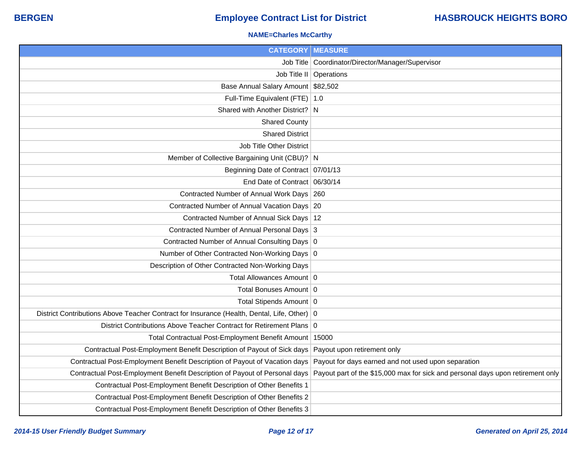### **NAME=Charles McCarthy**

| <b>CATEGORY   MEASURE</b>                                                                     |                                                                                 |
|-----------------------------------------------------------------------------------------------|---------------------------------------------------------------------------------|
|                                                                                               | Job Title   Coordinator/Director/Manager/Supervisor                             |
|                                                                                               | Job Title II   Operations                                                       |
| Base Annual Salary Amount \$82,502                                                            |                                                                                 |
| Full-Time Equivalent (FTE)   1.0                                                              |                                                                                 |
| Shared with Another District? N                                                               |                                                                                 |
| <b>Shared County</b>                                                                          |                                                                                 |
| <b>Shared District</b>                                                                        |                                                                                 |
| <b>Job Title Other District</b>                                                               |                                                                                 |
| Member of Collective Bargaining Unit (CBU)? N                                                 |                                                                                 |
| Beginning Date of Contract 07/01/13                                                           |                                                                                 |
| End Date of Contract 06/30/14                                                                 |                                                                                 |
| Contracted Number of Annual Work Days 260                                                     |                                                                                 |
| Contracted Number of Annual Vacation Days 20                                                  |                                                                                 |
| Contracted Number of Annual Sick Days   12                                                    |                                                                                 |
| Contracted Number of Annual Personal Days 3                                                   |                                                                                 |
| Contracted Number of Annual Consulting Days 0                                                 |                                                                                 |
| Number of Other Contracted Non-Working Days 0                                                 |                                                                                 |
| Description of Other Contracted Non-Working Days                                              |                                                                                 |
| Total Allowances Amount 0                                                                     |                                                                                 |
| Total Bonuses Amount 0                                                                        |                                                                                 |
| Total Stipends Amount   0                                                                     |                                                                                 |
| District Contributions Above Teacher Contract for Insurance (Health, Dental, Life, Other)   0 |                                                                                 |
| District Contributions Above Teacher Contract for Retirement Plans 0                          |                                                                                 |
| Total Contractual Post-Employment Benefit Amount   15000                                      |                                                                                 |
| Contractual Post-Employment Benefit Description of Payout of Sick days                        | Payout upon retirement only                                                     |
| Contractual Post-Employment Benefit Description of Payout of Vacation days                    | Payout for days earned and not used upon separation                             |
| Contractual Post-Employment Benefit Description of Payout of Personal days                    | Payout part of the \$15,000 max for sick and personal days upon retirement only |
| Contractual Post-Employment Benefit Description of Other Benefits 1                           |                                                                                 |
| Contractual Post-Employment Benefit Description of Other Benefits 2                           |                                                                                 |
| Contractual Post-Employment Benefit Description of Other Benefits 3                           |                                                                                 |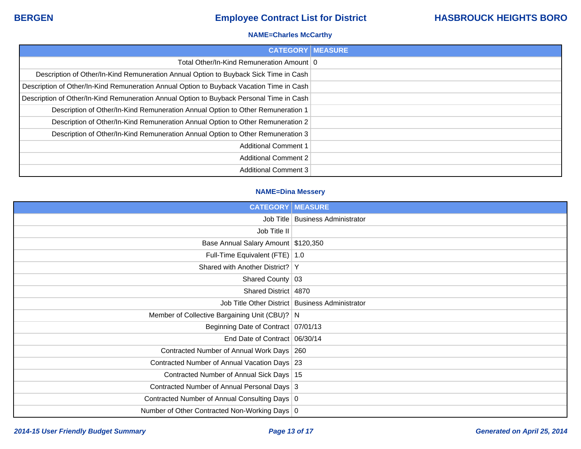### **NAME=Charles McCarthy**

| <b>CATEGORY   MEASURE</b>                                                                |  |
|------------------------------------------------------------------------------------------|--|
| Total Other/In-Kind Remuneration Amount   0                                              |  |
| Description of Other/In-Kind Remuneration Annual Option to Buyback Sick Time in Cash     |  |
| Description of Other/In-Kind Remuneration Annual Option to Buyback Vacation Time in Cash |  |
| Description of Other/In-Kind Remuneration Annual Option to Buyback Personal Time in Cash |  |
| Description of Other/In-Kind Remuneration Annual Option to Other Remuneration 1          |  |
| Description of Other/In-Kind Remuneration Annual Option to Other Remuneration 2          |  |
| Description of Other/In-Kind Remuneration Annual Option to Other Remuneration 3          |  |
| <b>Additional Comment 1</b>                                                              |  |
| <b>Additional Comment 2</b>                                                              |  |
| <b>Additional Comment 3</b>                                                              |  |

### **NAME=Dina Messery**

| <b>CATEGORY   MEASURE</b>                     |                                                   |
|-----------------------------------------------|---------------------------------------------------|
|                                               | Job Title   Business Administrator                |
| Job Title II                                  |                                                   |
| Base Annual Salary Amount \$120,350           |                                                   |
| Full-Time Equivalent (FTE)   1.0              |                                                   |
| Shared with Another District?   Y             |                                                   |
| Shared County 03                              |                                                   |
| Shared District   4870                        |                                                   |
|                                               | Job Title Other District   Business Administrator |
| Member of Collective Bargaining Unit (CBU)? N |                                                   |
| Beginning Date of Contract   07/01/13         |                                                   |
| End Date of Contract 06/30/14                 |                                                   |
| Contracted Number of Annual Work Days   260   |                                                   |
| Contracted Number of Annual Vacation Days 23  |                                                   |
| Contracted Number of Annual Sick Days   15    |                                                   |
| Contracted Number of Annual Personal Days 3   |                                                   |
| Contracted Number of Annual Consulting Days 0 |                                                   |
| Number of Other Contracted Non-Working Days 0 |                                                   |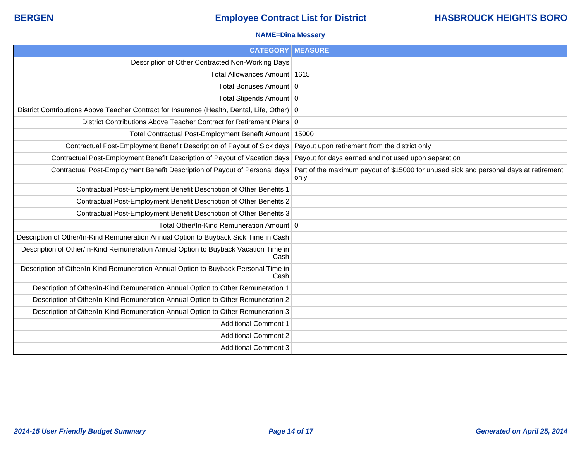### **NAME=Dina Messery**

| <b>CATEGORY MEASURE</b>                                                                       |                                                                                               |
|-----------------------------------------------------------------------------------------------|-----------------------------------------------------------------------------------------------|
| Description of Other Contracted Non-Working Days                                              |                                                                                               |
| Total Allowances Amount   1615                                                                |                                                                                               |
| Total Bonuses Amount 0                                                                        |                                                                                               |
| Total Stipends Amount 0                                                                       |                                                                                               |
| District Contributions Above Teacher Contract for Insurance (Health, Dental, Life, Other)   0 |                                                                                               |
| District Contributions Above Teacher Contract for Retirement Plans 0                          |                                                                                               |
| Total Contractual Post-Employment Benefit Amount   15000                                      |                                                                                               |
| Contractual Post-Employment Benefit Description of Payout of Sick days                        | Payout upon retirement from the district only                                                 |
| Contractual Post-Employment Benefit Description of Payout of Vacation days                    | Payout for days earned and not used upon separation                                           |
| Contractual Post-Employment Benefit Description of Payout of Personal days                    | Part of the maximum payout of \$15000 for unused sick and personal days at retirement<br>only |
| Contractual Post-Employment Benefit Description of Other Benefits 1                           |                                                                                               |
| Contractual Post-Employment Benefit Description of Other Benefits 2                           |                                                                                               |
| Contractual Post-Employment Benefit Description of Other Benefits 3                           |                                                                                               |
| Total Other/In-Kind Remuneration Amount 0                                                     |                                                                                               |
| Description of Other/In-Kind Remuneration Annual Option to Buyback Sick Time in Cash          |                                                                                               |
| Description of Other/In-Kind Remuneration Annual Option to Buyback Vacation Time in<br>Cash   |                                                                                               |
| Description of Other/In-Kind Remuneration Annual Option to Buyback Personal Time in<br>Cash   |                                                                                               |
| Description of Other/In-Kind Remuneration Annual Option to Other Remuneration 1               |                                                                                               |
| Description of Other/In-Kind Remuneration Annual Option to Other Remuneration 2               |                                                                                               |
| Description of Other/In-Kind Remuneration Annual Option to Other Remuneration 3               |                                                                                               |
| <b>Additional Comment 1</b>                                                                   |                                                                                               |
| <b>Additional Comment 2</b>                                                                   |                                                                                               |
| <b>Additional Comment 3</b>                                                                   |                                                                                               |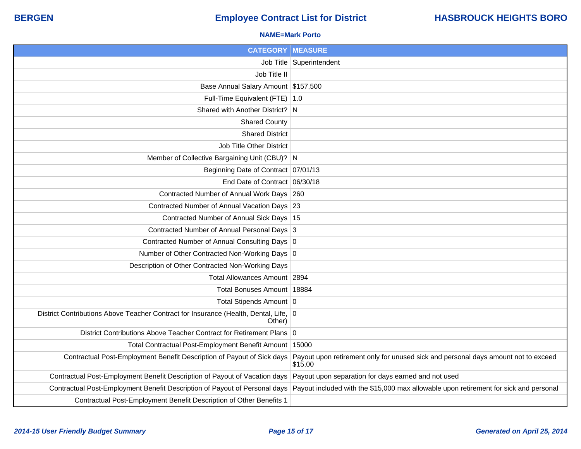### **NAME=Mark Porto**

| <b>CATEGORY   MEASURE</b>                                                                                                      |                                                                                                                                                                      |
|--------------------------------------------------------------------------------------------------------------------------------|----------------------------------------------------------------------------------------------------------------------------------------------------------------------|
|                                                                                                                                | Job Title   Superintendent                                                                                                                                           |
| Job Title II                                                                                                                   |                                                                                                                                                                      |
| Base Annual Salary Amount \$157,500                                                                                            |                                                                                                                                                                      |
| Full-Time Equivalent (FTE)   1.0                                                                                               |                                                                                                                                                                      |
| Shared with Another District? N                                                                                                |                                                                                                                                                                      |
| <b>Shared County</b>                                                                                                           |                                                                                                                                                                      |
| <b>Shared District</b>                                                                                                         |                                                                                                                                                                      |
| Job Title Other District                                                                                                       |                                                                                                                                                                      |
| Member of Collective Bargaining Unit (CBU)? N                                                                                  |                                                                                                                                                                      |
| Beginning Date of Contract 07/01/13                                                                                            |                                                                                                                                                                      |
| End Date of Contract 06/30/18                                                                                                  |                                                                                                                                                                      |
| Contracted Number of Annual Work Days 260                                                                                      |                                                                                                                                                                      |
| Contracted Number of Annual Vacation Days 23                                                                                   |                                                                                                                                                                      |
| Contracted Number of Annual Sick Days   15                                                                                     |                                                                                                                                                                      |
| Contracted Number of Annual Personal Days 3                                                                                    |                                                                                                                                                                      |
| Contracted Number of Annual Consulting Days 0                                                                                  |                                                                                                                                                                      |
| Number of Other Contracted Non-Working Days 0                                                                                  |                                                                                                                                                                      |
| Description of Other Contracted Non-Working Days                                                                               |                                                                                                                                                                      |
| Total Allowances Amount   2894                                                                                                 |                                                                                                                                                                      |
| Total Bonuses Amount   18884                                                                                                   |                                                                                                                                                                      |
| Total Stipends Amount 0                                                                                                        |                                                                                                                                                                      |
| District Contributions Above Teacher Contract for Insurance (Health, Dental, Life, 0<br>Other)                                 |                                                                                                                                                                      |
| District Contributions Above Teacher Contract for Retirement Plans 0                                                           |                                                                                                                                                                      |
| Total Contractual Post-Employment Benefit Amount   15000                                                                       |                                                                                                                                                                      |
|                                                                                                                                | Contractual Post-Employment Benefit Description of Payout of Sick days Payout upon retirement only for unused sick and personal days amount not to exceed<br>\$15,00 |
| Contractual Post-Employment Benefit Description of Payout of Vacation days Payout upon separation for days earned and not used |                                                                                                                                                                      |
|                                                                                                                                | Contractual Post-Employment Benefit Description of Payout of Personal days Payout included with the \$15,000 max allowable upon retirement for sick and personal     |
| Contractual Post-Employment Benefit Description of Other Benefits 1                                                            |                                                                                                                                                                      |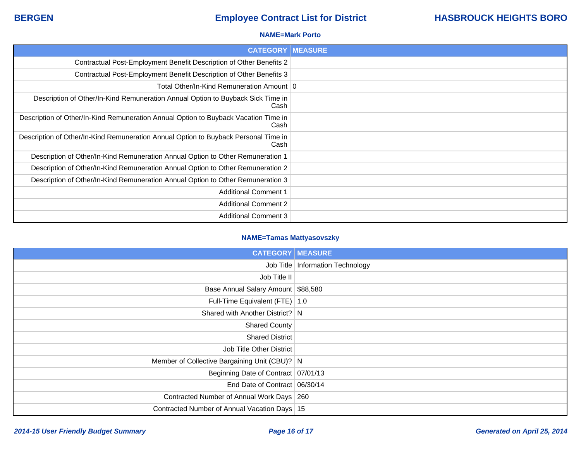### **NAME=Mark Porto**

| <b>CATEGORY</b>                                                                             | <b>MEASURE</b> |
|---------------------------------------------------------------------------------------------|----------------|
| Contractual Post-Employment Benefit Description of Other Benefits 2                         |                |
| Contractual Post-Employment Benefit Description of Other Benefits 3                         |                |
| Total Other/In-Kind Remuneration Amount   0                                                 |                |
| Description of Other/In-Kind Remuneration Annual Option to Buyback Sick Time in<br>Cash     |                |
| Description of Other/In-Kind Remuneration Annual Option to Buyback Vacation Time in<br>Cash |                |
| Description of Other/In-Kind Remuneration Annual Option to Buyback Personal Time in<br>Cash |                |
| Description of Other/In-Kind Remuneration Annual Option to Other Remuneration 1             |                |
| Description of Other/In-Kind Remuneration Annual Option to Other Remuneration 2             |                |
| Description of Other/In-Kind Remuneration Annual Option to Other Remuneration 3             |                |
| <b>Additional Comment 1</b>                                                                 |                |
| <b>Additional Comment 2</b>                                                                 |                |
| <b>Additional Comment 3</b>                                                                 |                |

### **NAME=Tamas Mattyasovszky**

| <b>CATEGORY   MEASURE</b>                     |                                    |
|-----------------------------------------------|------------------------------------|
|                                               | Job Title   Information Technology |
| Job Title II                                  |                                    |
| Base Annual Salary Amount \$88,580            |                                    |
| Full-Time Equivalent (FTE) 1.0                |                                    |
| Shared with Another District? N               |                                    |
| <b>Shared County</b>                          |                                    |
| <b>Shared District</b>                        |                                    |
| Job Title Other District                      |                                    |
| Member of Collective Bargaining Unit (CBU)? N |                                    |
| Beginning Date of Contract 07/01/13           |                                    |
| End Date of Contract 06/30/14                 |                                    |
| Contracted Number of Annual Work Days 260     |                                    |
| Contracted Number of Annual Vacation Days 15  |                                    |